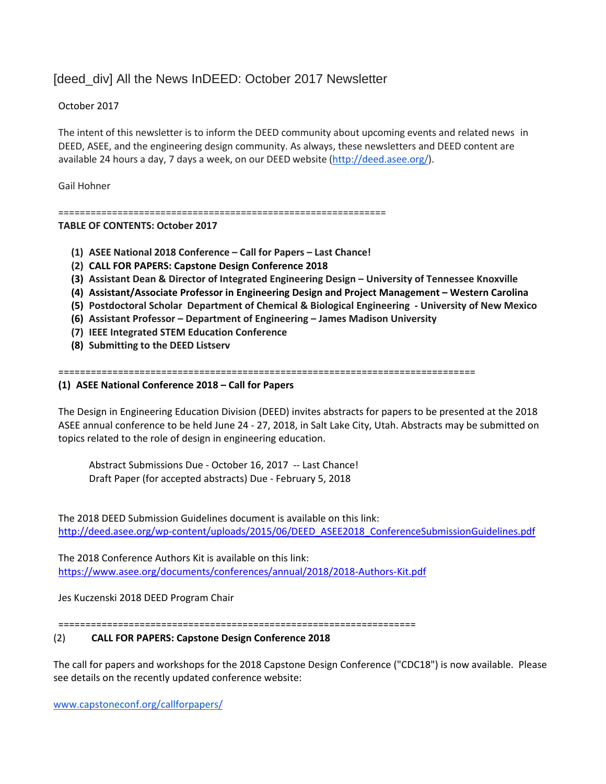# [deed\_div] All the News InDEED: October 2017 Newsletter

## October 2017

The intent of this newsletter is to inform the DEED community about upcoming events and related news in DEED, ASEE, and the engineering design community. As always, these newsletters and DEED content are available 24 hours a day, 7 days a week, on our DEED website [\(http://deed.asee.org/\)](http://deed.asee.org/).

Gail Hohner

=============================================================

### **TABLE OF CONTENTS: October 2017**

- **(1) ASEE National 2018 Conference – Call for Papers – Last Chance!**
- **(2) CALL FOR PAPERS: Capstone Design Conference 2018**
- **(3) Assistant Dean & Director of Integrated Engineering Design – University of Tennessee Knoxville**
- **(4) Assistant/Associate Professor in Engineering Design and Project Management – Western Carolina**
- **(5) Postdoctoral Scholar Department of Chemical & Biological Engineering - University of New Mexico**
- **(6) Assistant Professor – Department of Engineering – James Madison University**
- **(7) IEEE Integrated STEM Education Conference**
- **(8) Submitting to the DEED Listserv**

=============================================================================

#### **(1) ASEE National Conference 2018 – Call for Papers**

The Design in Engineering Education Division (DEED) invites abstracts for papers to be presented at the 2018 ASEE annual conference to be held June 24 - 27, 2018, in Salt Lake City, Utah. Abstracts may be submitted on topics related to the role of design in engineering education.

Abstract Submissions Due - October 16, 2017 -- Last Chance! Draft Paper (for accepted abstracts) Due - February 5, 2018

The 2018 DEED Submission Guidelines document is available on this link: [http://deed.asee.org/wp-content/uploads/2015/06/DEED\\_ASEE2018\\_ConferenceSubmissionGuidelines.pdf](http://deed.asee.org/wp-content/uploads/2015/06/DEED_ASEE2018_ConferenceSubmissionGuidelines.pdf)

The 2018 Conference Authors Kit is available on this link: <https://www.asee.org/documents/conferences/annual/2018/2018-Authors-Kit.pdf>

Jes Kuczenski 2018 DEED Program Chair

==================================================================

#### (2) **CALL FOR PAPERS: Capstone Design Conference 2018**

The call for papers and workshops for the 2018 Capstone Design Conference ("CDC18") is now available. Please see details on the recently updated conference website:

[www.capstoneconf.org/callforpapers/](http://www.capstoneconf.org/callforpapers/)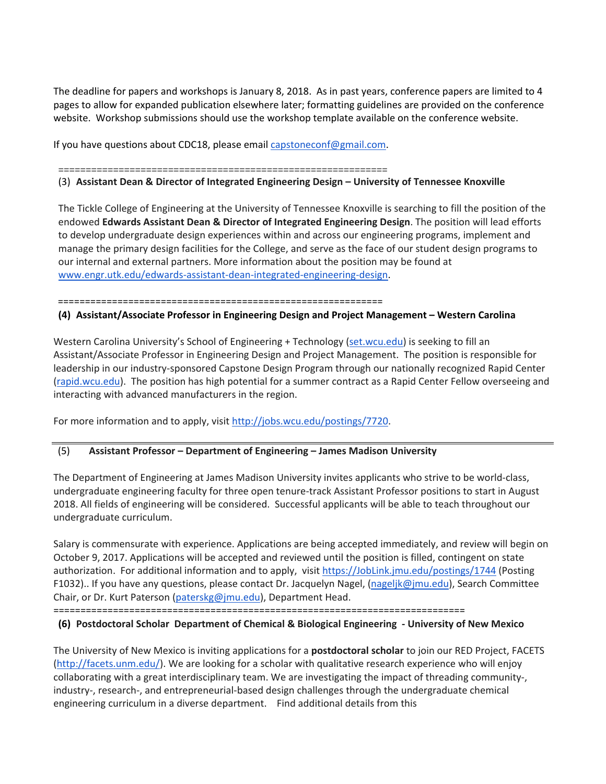The deadline for papers and workshops is January 8, 2018. As in past years, conference papers are limited to 4 pages to allow for expanded publication elsewhere later; formatting guidelines are provided on the conference website. Workshop submissions should use the workshop template available on the conference website.

If you have questions about CDC18, please email [capstoneconf@gmail.com.](mailto:capstoneconf@gmail.com)

============================================================

## (3) **Assistant Dean & Director of Integrated Engineering Design – University of Tennessee Knoxville**

The Tickle College of Engineering at the University of Tennessee Knoxville is searching to fill the position of the endowed **Edwards Assistant Dean & Director of Integrated Engineering Design**. The position will lead efforts to develop undergraduate design experiences within and across our engineering programs, implement and manage the primary design facilities for the College, and serve as the face of our student design programs to our internal and external partners. More information about the position may be found at [www.engr.utk.edu/edwards-assistant-dean-integrated-engineering-design.](http://www.engr.utk.edu/edwards-assistant-dean-integrated-engineering-design)

============================================================

## **(4) Assistant/Associate Professor in Engineering Design and Project Management – Western Carolina**

Western Carolina University's School of Engineering + Technology [\(set.wcu.edu\)](http://set.wcu.edu/) is seeking to fill an Assistant/Associate Professor in Engineering Design and Project Management. The position is responsible for leadership in our industry-sponsored Capstone Design Program through our nationally recognized Rapid Center [\(rapid.wcu.edu\)](http://rapid.wcu.edu/). The position has high potential for a summer contract as a Rapid Center Fellow overseeing and interacting with advanced manufacturers in the region.

For more information and to apply, visit [http://jobs.wcu.edu/postings/7720.](http://jobs.wcu.edu/postings/7720)

# (5) **Assistant Professor – Department of Engineering – James Madison University**

The Department of Engineering at James Madison University invites applicants who strive to be world-class, undergraduate engineering faculty for three open tenure-track Assistant Professor positions to start in August 2018. All fields of engineering will be considered. Successful applicants will be able to teach throughout our undergraduate curriculum.

Salary is commensurate with experience. Applications are being accepted immediately, and review will begin on October 9, 2017. Applications will be accepted and reviewed until the position is filled, contingent on state authorization. For additional information and to apply, visit [https://JobLink.jmu.edu/postings/1744](https://joblink.jmu.edu/postings/1744) (Posting F1032).. If you have any questions, please contact Dr. Jacquelyn Nagel, [\(nageljk@jmu.edu\)](mailto:nageljk@jmu.edu), Search Committee Chair, or Dr. Kurt Paterson [\(paterskg@jmu.edu\)](mailto:paterskg@jmu.edu), Department Head.

============================================================================

# **(6) Postdoctoral Scholar Department of Chemical & Biological Engineering - University of New Mexico**

The University of New Mexico is inviting applications for a **postdoctoral scholar** to join our RED Project, FACETS [\(http://facets.unm.edu/\)](http://facets.unm.edu/). We are looking for a scholar with qualitative research experience who will enjoy collaborating with a great interdisciplinary team. We are investigating the impact of threading community-, industry-, research-, and entrepreneurial-based design challenges through the undergraduate chemical engineering curriculum in a diverse department. Find additional details from this